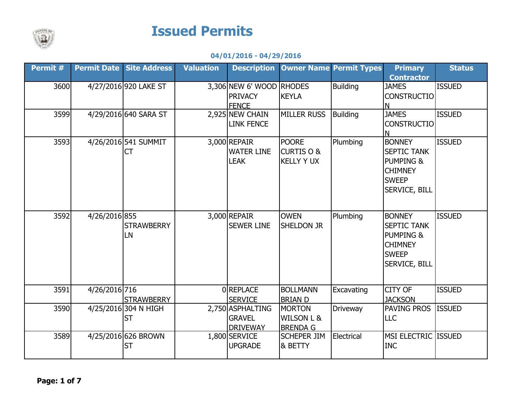

## Issued Permits

## 04/01/2016 - 04/29/2016

| Permit # | <b>Permit Date</b> | <b>Site Address</b>   | <b>Valuation</b> | <b>Description</b>       |                       | <b>Owner Name Permit Types</b> | <b>Primary</b>       | <b>Status</b> |
|----------|--------------------|-----------------------|------------------|--------------------------|-----------------------|--------------------------------|----------------------|---------------|
|          |                    |                       |                  |                          |                       |                                | <b>Contractor</b>    |               |
| 3600     |                    | 4/27/2016 920 LAKE ST |                  | 3,306 NEW 6' WOOD RHODES |                       | <b>Building</b>                | <b>JAMES</b>         | <b>ISSUED</b> |
|          |                    |                       |                  | <b>PRIVACY</b>           | <b>KEYLA</b>          |                                | <b>CONSTRUCTIO</b>   |               |
|          |                    |                       |                  | <b>FENCE</b>             |                       |                                | N                    |               |
| 3599     |                    | 4/29/2016 640 SARA ST |                  | 2,925 NEW CHAIN          | <b>MILLER RUSS</b>    | <b>Building</b>                | <b>JAMES</b>         | <b>ISSUED</b> |
|          |                    |                       |                  | <b>LINK FENCE</b>        |                       |                                | <b>CONSTRUCTIO</b>   |               |
|          |                    |                       |                  |                          |                       |                                | N                    |               |
| 3593     |                    | 4/26/2016 541 SUMMIT  |                  | $3,000$ REPAIR           | <b>POORE</b>          | Plumbing                       | <b>BONNEY</b>        | <b>ISSUED</b> |
|          |                    | <b>CT</b>             |                  | <b>WATER LINE</b>        | <b>CURTIS O &amp;</b> |                                | <b>SEPTIC TANK</b>   |               |
|          |                    |                       |                  | <b>LEAK</b>              | <b>KELLY Y UX</b>     |                                | <b>PUMPING &amp;</b> |               |
|          |                    |                       |                  |                          |                       |                                | <b>CHIMNEY</b>       |               |
|          |                    |                       |                  |                          |                       |                                | <b>SWEEP</b>         |               |
|          |                    |                       |                  |                          |                       |                                | SERVICE, BILL        |               |
|          |                    |                       |                  |                          |                       |                                |                      |               |
| 3592     |                    |                       |                  |                          | <b>OWEN</b>           |                                | <b>BONNEY</b>        | <b>ISSUED</b> |
|          | 4/26/2016 855      |                       |                  | $3,000$ REPAIR           |                       | Plumbing                       |                      |               |
|          |                    | <b>STRAWBERRY</b>     |                  | <b>SEWER LINE</b>        | <b>SHELDON JR</b>     |                                | <b>SEPTIC TANK</b>   |               |
|          |                    | LN                    |                  |                          |                       |                                | <b>PUMPING &amp;</b> |               |
|          |                    |                       |                  |                          |                       |                                | <b>CHIMNEY</b>       |               |
|          |                    |                       |                  |                          |                       |                                | <b>SWEEP</b>         |               |
|          |                    |                       |                  |                          |                       |                                | <b>SERVICE, BILL</b> |               |
|          |                    |                       |                  |                          |                       |                                |                      |               |
| 3591     | 4/26/2016 716      |                       |                  | <b>OREPLACE</b>          | <b>BOLLMANN</b>       | Excavating                     | <b>CITY OF</b>       | <b>ISSUED</b> |
|          |                    | <b>STRAWBERRY</b>     |                  | <b>SERVICE</b>           | <b>BRIAN D</b>        |                                | <b>JACKSON</b>       |               |
| 3590     |                    | 4/25/2016 304 N HIGH  |                  | 2,750 ASPHALTING         | <b>MORTON</b>         | Driveway                       | PAVING PROS          | <b>ISSUED</b> |
|          |                    | <b>ST</b>             |                  | <b>GRAVEL</b>            | <b>WILSON L &amp;</b> |                                | <b>LLC</b>           |               |
|          |                    |                       |                  | <b>DRIVEWAY</b>          | <b>BRENDA G</b>       |                                |                      |               |
| 3589     |                    | 4/25/2016 626 BROWN   |                  | 1,800 SERVICE            | <b>SCHEPER JIM</b>    | Electrical                     | MSI ELECTRIC ISSUED  |               |
|          |                    | <b>ST</b>             |                  | <b>UPGRADE</b>           | & BETTY               |                                | <b>INC</b>           |               |
|          |                    |                       |                  |                          |                       |                                |                      |               |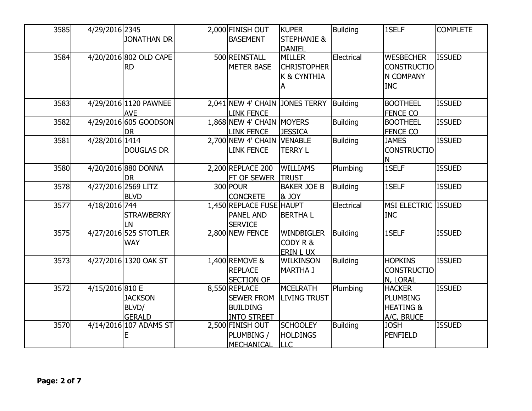| 3585 | 4/29/2016 2345  |                        | 2,000 FINISH OUT           | <b>KUPER</b>           | <b>Building</b> | 1SELF                | <b>COMPLETE</b> |
|------|-----------------|------------------------|----------------------------|------------------------|-----------------|----------------------|-----------------|
|      |                 | <b>JONATHAN DR</b>     | <b>BASEMENT</b>            | <b>STEPHANIE &amp;</b> |                 |                      |                 |
|      |                 |                        |                            | <b>DANIEL</b>          |                 |                      |                 |
| 3584 |                 | 4/20/2016 802 OLD CAPE | 500 REINSTALL              | <b>MILLER</b>          | Electrical      | <b>WESBECHER</b>     | <b>ISSUED</b>   |
|      |                 | <b>RD</b>              | <b>METER BASE</b>          | <b>CHRISTOPHER</b>     |                 | <b>CONSTRUCTIO</b>   |                 |
|      |                 |                        |                            | K & CYNTHIA            |                 | N COMPANY            |                 |
|      |                 |                        |                            | Α                      |                 | <b>INC</b>           |                 |
|      |                 |                        |                            |                        |                 |                      |                 |
| 3583 |                 | 4/29/2016 1120 PAWNEE  | 2,041 NEW 4' CHAIN         | <b>JONES TERRY</b>     | Building        | <b>BOOTHEEL</b>      | <b>ISSUED</b>   |
|      |                 | <b>AVE</b>             | <b>LINK FENCE</b>          |                        |                 | <b>FENCE CO</b>      |                 |
| 3582 |                 | 4/29/2016 605 GOODSON  | 1,868 NEW 4' CHAIN MOYERS  |                        | Building        | <b>BOOTHEEL</b>      | <b>ISSUED</b>   |
|      |                 | <b>DR</b>              | <b>LINK FENCE</b>          | <b>JESSICA</b>         |                 | <b>FENCE CO</b>      |                 |
| 3581 | 4/28/2016 1414  |                        | 2,700 NEW 4' CHAIN VENABLE |                        | <b>Building</b> | <b>JAMES</b>         | <b>ISSUED</b>   |
|      |                 | <b>DOUGLAS DR</b>      | <b>LINK FENCE</b>          | <b>TERRY L</b>         |                 | <b>CONSTRUCTIO</b>   |                 |
|      |                 |                        |                            |                        |                 | Ν                    |                 |
| 3580 |                 | 4/20/2016 880 DONNA    | 2,200 REPLACE 200          | <b>WILLIAMS</b>        | Plumbing        | 1SELF                | <b>ISSUED</b>   |
|      |                 | <b>DR</b>              | FT OF SEWER                | <b>TRUST</b>           |                 |                      |                 |
| 3578 |                 | 4/27/2016 2569 LITZ    | 300 POUR                   | <b>BAKER JOE B</b>     | Building        | 1SELF                | <b>ISSUED</b>   |
|      |                 | <b>BLVD</b>            | <b>CONCRETE</b>            | <b>&amp; JOY</b>       |                 |                      |                 |
| 3577 | 4/18/2016 744   |                        | 1,450 REPLACE FUSE HAUPT   |                        | Electrical      | MSI ELECTRIC ISSUED  |                 |
|      |                 | <b>STRAWBERRY</b>      | <b>PANEL AND</b>           | <b>BERTHAL</b>         |                 | <b>INC</b>           |                 |
|      |                 | LN                     | <b>SERVICE</b>             |                        |                 |                      |                 |
| 3575 |                 | 4/27/2016 525 STOTLER  | 2,800 NEW FENCE            | <b>WINDBIGLER</b>      | <b>Building</b> | 1SELF                | <b>ISSUED</b>   |
|      |                 | <b>WAY</b>             |                            | CODY R &               |                 |                      |                 |
|      |                 |                        |                            | ERIN L UX              |                 |                      |                 |
| 3573 |                 | 4/27/2016 1320 OAK ST  | 1,400 REMOVE &             | <b>WILKINSON</b>       | <b>Building</b> | <b>HOPKINS</b>       | <b>ISSUED</b>   |
|      |                 |                        | <b>REPLACE</b>             | <b>MARTHA J</b>        |                 | <b>CONSTRUCTIO</b>   |                 |
|      |                 |                        | <b>SECTION OF</b>          |                        |                 | N, LORAL             |                 |
| 3572 | 4/15/2016 810 E |                        | 8,550 REPLACE              | <b>MCELRATH</b>        | Plumbing        | <b>HACKER</b>        | <b>ISSUED</b>   |
|      |                 | <b>JACKSON</b>         | <b>SEWER FROM</b>          | <b>LIVING TRUST</b>    |                 | <b>PLUMBING</b>      |                 |
|      |                 | BLVD/                  | <b>BUILDING</b>            |                        |                 | <b>HEATING &amp;</b> |                 |
|      |                 | <b>GERALD</b>          | <b>INTO STREET</b>         |                        |                 | A/C, BRUCE           |                 |
| 3570 |                 | 4/14/2016 107 ADAMS ST | 2,500 FINISH OUT           | <b>SCHOOLEY</b>        | <b>Building</b> | <b>JOSH</b>          | <b>ISSUED</b>   |
|      |                 | F                      | PLUMBING /                 | <b>HOLDINGS</b>        |                 | <b>PENFIELD</b>      |                 |
|      |                 |                        | MECHANICAL                 | <b>LLC</b>             |                 |                      |                 |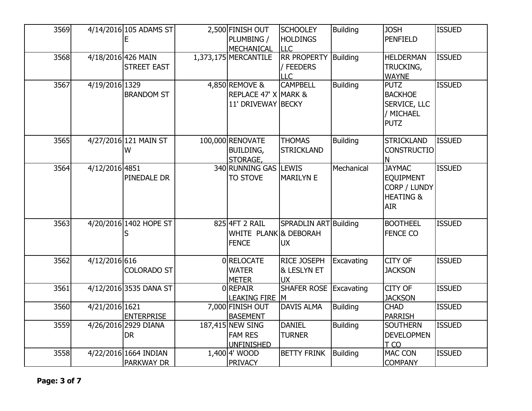| 3569 |                    | 4/14/2016 105 ADAMS ST | 2,500 FINISH OUT      | <b>SCHOOLEY</b>       | <b>Building</b> | <b>JOSH</b>          | <b>ISSUED</b> |
|------|--------------------|------------------------|-----------------------|-----------------------|-----------------|----------------------|---------------|
|      |                    | F                      | PLUMBING /            | <b>HOLDINGS</b>       |                 | <b>PENFIELD</b>      |               |
|      |                    |                        | MECHANICAL            | <b>LLC</b>            |                 |                      |               |
| 3568 | 4/18/2016 426 MAIN |                        | 1,373,175 MERCANTILE  | <b>RR PROPERTY</b>    | Building        | <b>HELDERMAN</b>     | <b>ISSUED</b> |
|      |                    | <b>STREET EAST</b>     |                       | / FEEDERS             |                 | TRUCKING,            |               |
|      |                    |                        |                       | LLC                   |                 | <b>WAYNE</b>         |               |
| 3567 | 4/19/2016 1329     |                        | 4,850 REMOVE &        | <b>CAMPBELL</b>       | <b>Building</b> | <b>PUTZ</b>          | <b>ISSUED</b> |
|      |                    | <b>BRANDOM ST</b>      | REPLACE 47' X MARK &  |                       |                 | <b>BACKHOE</b>       |               |
|      |                    |                        | 11' DRIVEWAY BECKY    |                       |                 | SERVICE, LLC         |               |
|      |                    |                        |                       |                       |                 | / MICHAEL            |               |
|      |                    |                        |                       |                       |                 | <b>PUTZ</b>          |               |
|      |                    |                        |                       |                       |                 |                      |               |
| 3565 |                    | 4/27/2016 121 MAIN ST  | 100,000 RENOVATE      | <b>THOMAS</b>         | <b>Building</b> | <b>STRICKLAND</b>    | <b>ISSUED</b> |
|      |                    | W                      | <b>BUILDING,</b>      | <b>STRICKLAND</b>     |                 | <b>CONSTRUCTIO</b>   |               |
|      |                    |                        | STORAGE,              |                       |                 | N                    |               |
| 3564 | 4/12/2016 4851     |                        | 340 RUNNING GAS       | <b>LEWIS</b>          | Mechanical      | <b>JAYMAC</b>        | <b>ISSUED</b> |
|      |                    | PINEDALE DR            | <b>TO STOVE</b>       | <b>MARILYN E</b>      |                 | <b>EQUIPMENT</b>     |               |
|      |                    |                        |                       |                       |                 | CORP / LUNDY         |               |
|      |                    |                        |                       |                       |                 | <b>HEATING &amp;</b> |               |
|      |                    |                        |                       |                       |                 | <b>AIR</b>           |               |
| 3563 |                    | 4/20/2016 1402 HOPE ST | 8254FT 2 RAIL         | SPRADLIN ART Building |                 | <b>BOOTHEEL</b>      | <b>ISSUED</b> |
|      |                    | S                      | WHITE PLANK & DEBORAH |                       |                 | FENCE CO             |               |
|      |                    |                        | <b>FENCE</b>          | <b>UX</b>             |                 |                      |               |
|      |                    |                        |                       |                       |                 |                      |               |
| 3562 | 4/12/2016 616      |                        | 0RELOCATE             | RICE JOSEPH           | Excavating      | <b>CITY OF</b>       | <b>ISSUED</b> |
|      |                    | <b>COLORADO ST</b>     | <b>WATER</b>          | & LESLYN ET           |                 | <b>JACKSON</b>       |               |
|      |                    |                        | <b>METER</b>          | <b>UX</b>             |                 |                      |               |
| 3561 |                    | 4/12/2016 3535 DANA ST | $0$ REPAIR            | <b>SHAFER ROSE</b>    | Excavating      | <b>CITY OF</b>       | <b>ISSUED</b> |
|      |                    |                        | LEAKING FIRE M        |                       |                 | <b>JACKSON</b>       |               |
| 3560 | 4/21/2016 1621     |                        | 7,000 FINISH OUT      | <b>DAVIS ALMA</b>     | <b>Building</b> | <b>CHAD</b>          | <b>ISSUED</b> |
|      |                    | <b>ENTERPRISE</b>      | <b>BASEMENT</b>       |                       |                 | <b>PARRISH</b>       |               |
| 3559 |                    | 4/26/2016 2929 DIANA   | 187,415 NEW SING      | <b>DANIEL</b>         | <b>Building</b> | <b>SOUTHERN</b>      | <b>ISSUED</b> |
|      |                    | <b>DR</b>              | <b>FAM RES</b>        | <b>TURNER</b>         |                 | <b>DEVELOPMEN</b>    |               |
|      |                    |                        | <b>UNFINISHED</b>     |                       |                 | T CO                 |               |
| 3558 |                    | 4/22/2016 1664 INDIAN  | 1,400 4' WOOD         | <b>BETTY FRINK</b>    | Building        | MAC CON              | <b>ISSUED</b> |
|      |                    | <b>PARKWAY DR</b>      | <b>PRIVACY</b>        |                       |                 | <b>COMPANY</b>       |               |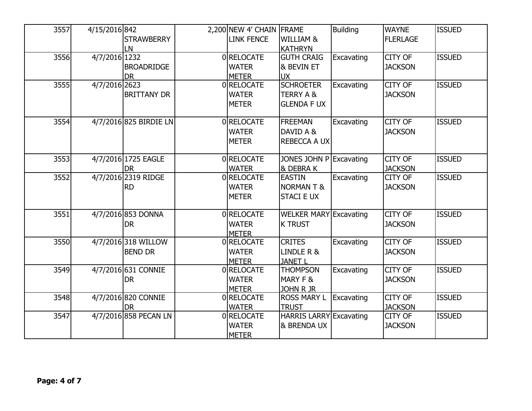| 3557 | 4/15/2016 842 |                        | 2,200 NEW 4' CHAIN | <b>FRAME</b>                   | <b>Building</b> | <b>WAYNE</b>    | <b>ISSUED</b> |
|------|---------------|------------------------|--------------------|--------------------------------|-----------------|-----------------|---------------|
|      |               | <b>STRAWBERRY</b>      | <b>LINK FENCE</b>  | <b>WILLIAM &amp;</b>           |                 | <b>FLERLAGE</b> |               |
|      |               | LN                     |                    | KATHRYN                        |                 |                 |               |
| 3556 | 4/7/2016 1232 |                        | 0RELOCATE          | <b>GUTH CRAIG</b>              | Excavating      | <b>CITY OF</b>  | <b>ISSUED</b> |
|      |               | <b>BROADRIDGE</b>      | <b>WATER</b>       | & BEVIN ET                     |                 | <b>JACKSON</b>  |               |
|      |               | <b>DR</b>              | <b>METER</b>       | <b>UX</b>                      |                 |                 |               |
| 3555 | 4/7/2016 2623 |                        | 0RELOCATE          | <b>SCHROETER</b>               | Excavating      | <b>CITY OF</b>  | <b>ISSUED</b> |
|      |               | <b>BRITTANY DR</b>     | <b>WATER</b>       | <b>TERRY A &amp;</b>           |                 | <b>JACKSON</b>  |               |
|      |               |                        | <b>METER</b>       | <b>GLENDA F UX</b>             |                 |                 |               |
|      |               |                        |                    |                                |                 |                 |               |
| 3554 |               | 4/7/2016 825 BIRDIE LN | 0RELOCATE          | <b>FREEMAN</b>                 | Excavating      | <b>CITY OF</b>  | <b>ISSUED</b> |
|      |               |                        | <b>WATER</b>       | DAVID A &                      |                 | <b>JACKSON</b>  |               |
|      |               |                        | <b>METER</b>       | <b>REBECCA A UX</b>            |                 |                 |               |
| 3553 |               | 4/7/2016 1725 EAGLE    | 0 RELOCATE         | JONES JOHN P Excavating        |                 | <b>CITY OF</b>  | <b>ISSUED</b> |
|      |               | <b>DR</b>              | <b>WATER</b>       | <b>&amp; DEBRAK</b>            |                 | <b>JACKSON</b>  |               |
| 3552 |               | 4/7/2016 2319 RIDGE    | 0RELOCATE          | <b>EASTIN</b>                  | Excavating      | CITY OF         | <b>ISSUED</b> |
|      |               | <b>RD</b>              | <b>WATER</b>       | <b>NORMANT&amp;</b>            |                 | <b>JACKSON</b>  |               |
|      |               |                        | <b>METER</b>       | <b>STACI E UX</b>              |                 |                 |               |
|      |               |                        |                    |                                |                 |                 |               |
| 3551 |               | 4/7/2016 853 DONNA     | 0RELOCATE          | <b>WELKER MARY Excavating</b>  |                 | CITY OF         | <b>ISSUED</b> |
|      |               | <b>DR</b>              | <b>WATER</b>       | <b>K TRUST</b>                 |                 | <b>JACKSON</b>  |               |
|      |               |                        | <b>METER</b>       |                                |                 |                 |               |
| 3550 |               | 4/7/2016 318 WILLOW    | 0RELOCATE          | <b>CRITES</b>                  | Excavating      | <b>CITY OF</b>  | <b>ISSUED</b> |
|      |               | <b>BEND DR</b>         | <b>WATER</b>       | LINDLE R &                     |                 | <b>JACKSON</b>  |               |
|      |               |                        | <b>METER</b>       | <b>JANET L</b>                 |                 |                 |               |
| 3549 |               | 4/7/2016 631 CONNIE    | 0RELOCATE          | <b>THOMPSON</b>                | Excavating      | <b>CITY OF</b>  | <b>ISSUED</b> |
|      |               | <b>DR</b>              | <b>WATER</b>       | MARY F &                       |                 | <b>JACKSON</b>  |               |
|      |               |                        | <b>METER</b>       | JOHN R JR                      |                 |                 |               |
| 3548 |               | 4/7/2016 820 CONNIE    | 0RELOCATE          | <b>ROSS MARY L</b>             | Excavating      | <b>CITY OF</b>  | <b>ISSUED</b> |
|      |               | <b>DR</b>              | <b>WATER</b>       | <b>TRUST</b>                   |                 | <b>JACKSON</b>  |               |
| 3547 |               | 4/7/2016 858 PECAN LN  | 0RELOCATE          | <b>HARRIS LARRY Excavating</b> |                 | CITY OF         | <b>ISSUED</b> |
|      |               |                        | <b>WATER</b>       | <b>&amp; BRENDA UX</b>         |                 | <b>JACKSON</b>  |               |
|      |               |                        | <b>METER</b>       |                                |                 |                 |               |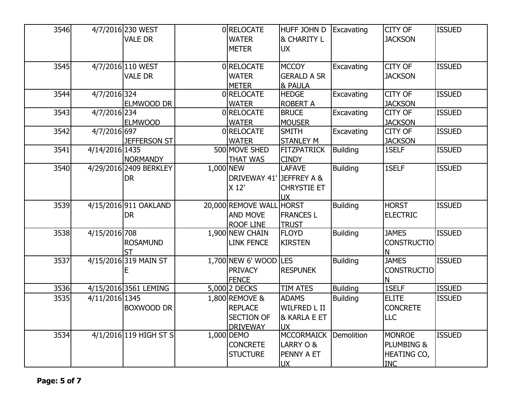| 3546 |                | 4/7/2016 230 WEST      |           | 0 RELOCATE               | <b>HUFF JOHN D</b>     | Excavating      | CITY OF            | <b>ISSUED</b> |
|------|----------------|------------------------|-----------|--------------------------|------------------------|-----------------|--------------------|---------------|
|      |                | <b>VALE DR</b>         |           | <b>WATER</b>             | <b>&amp; CHARITY L</b> |                 | <b>JACKSON</b>     |               |
|      |                |                        |           | <b>METER</b>             | <b>UX</b>              |                 |                    |               |
|      |                |                        |           |                          |                        |                 |                    |               |
| 3545 |                | 4/7/2016 110 WEST      |           | 0RELOCATE                | <b>MCCOY</b>           | Excavating      | <b>CITY OF</b>     | <b>ISSUED</b> |
|      |                | <b>VALE DR</b>         |           | <b>WATER</b>             | <b>GERALD A SR</b>     |                 | <b>JACKSON</b>     |               |
|      |                |                        |           | <b>METER</b>             | <b>&amp; PAULA</b>     |                 |                    |               |
| 3544 | 4/7/2016 324   |                        |           | 0RELOCATE                | <b>HEDGE</b>           | Excavating      | CITY OF            | <b>ISSUED</b> |
|      |                | <b>ELMWOOD DR</b>      |           | <b>WATER</b>             | <b>ROBERT A</b>        |                 | <b>JACKSON</b>     |               |
| 3543 | 4/7/2016 234   |                        |           | 0RELOCATE                | <b>BRUCE</b>           | Excavating      | CITY OF            | <b>ISSUED</b> |
|      |                | <b>ELMWOOD</b>         |           | <b>WATER</b>             | <b>MOUSER</b>          |                 | <b>JACKSON</b>     |               |
| 3542 | 4/7/2016 697   |                        |           | 0RELOCATE                | <b>SMITH</b>           | Excavating      | CITY OF            | <b>ISSUED</b> |
|      |                | <b>JEFFERSON ST</b>    |           | <b>WATER</b>             | <b>STANLEY M</b>       |                 | <b>JACKSON</b>     |               |
| 3541 | 4/14/2016 1435 |                        |           | 500 MOVE SHED            | <b>FITZPATRICK</b>     | Building        | 1SELF              | <b>ISSUED</b> |
|      |                | NORMANDY               |           | <b>THAT WAS</b>          | <b>CINDY</b>           |                 |                    |               |
| 3540 |                | 4/29/2016 2409 BERKLEY | 1,000 NEW |                          | <b>LAFAVE</b>          | <b>Building</b> | 1SELF              | <b>ISSUED</b> |
|      |                | <b>DR</b>              |           | DRIVEWAY 41' JEFFREY A & |                        |                 |                    |               |
|      |                |                        |           | X 12'                    | <b>CHRYSTIE ET</b>     |                 |                    |               |
|      |                |                        |           |                          | <b>UX</b>              |                 |                    |               |
| 3539 |                | 4/15/2016 911 OAKLAND  |           | 20,000 REMOVE WALL HORST |                        | <b>Building</b> | <b>HORST</b>       | <b>ISSUED</b> |
|      |                | <b>DR</b>              |           | <b>AND MOVE</b>          | <b>FRANCES L</b>       |                 | <b>ELECTRIC</b>    |               |
|      |                |                        |           | <b>ROOF LINE</b>         | <b>TRUST</b>           |                 |                    |               |
| 3538 | 4/15/2016 708  |                        |           | 1,900 NEW CHAIN          | <b>FLOYD</b>           | <b>Building</b> | <b>JAMES</b>       | <b>ISSUED</b> |
|      |                | <b>ROSAMUND</b>        |           | <b>LINK FENCE</b>        | <b>KIRSTEN</b>         |                 | <b>CONSTRUCTIO</b> |               |
|      |                |                        |           |                          |                        |                 | N                  |               |
| 3537 |                | 4/15/2016 319 MAIN ST  |           | 1,700 NEW 6' WOOD LES    |                        | Building        | <b>JAMES</b>       | <b>ISSUED</b> |
|      |                | E                      |           | <b>PRIVACY</b>           | <b>RESPUNEK</b>        |                 | <b>CONSTRUCTIO</b> |               |
|      |                |                        |           | <b>FENCE</b>             |                        |                 | Ν                  |               |
| 3536 |                | 4/15/2016 3561 LEMING  |           | 5,000 2 DECKS            | <b>TIM ATES</b>        | <b>Building</b> | 1SELF              | <b>ISSUED</b> |
| 3535 | 4/11/2016 1345 |                        |           | 1,800 REMOVE &           | <b>ADAMS</b>           | <b>Building</b> | <b>ELITE</b>       | <b>ISSUED</b> |
|      |                | <b>BOXWOOD DR</b>      |           | <b>REPLACE</b>           | <b>WILFRED L II</b>    |                 | <b>CONCRETE</b>    |               |
|      |                |                        |           | <b>SECTION OF</b>        | & KARLA E ET           |                 | <b>LLC</b>         |               |
|      |                |                        |           | <b>DRIVEWAY</b>          | <b>UX</b>              |                 |                    |               |
| 3534 |                | 4/1/2016 119 HIGH ST S |           | 1,000 DEMO               | MCCORMAICK             | Demolition      | <b>MONROE</b>      | <b>ISSUED</b> |
|      |                |                        |           | <b>CONCRETE</b>          | LARRY O &              |                 | PLUMBING &         |               |
|      |                |                        |           | <b>STUCTURE</b>          | PENNY A ET             |                 | HEATING CO,        |               |
|      |                |                        |           |                          | <b>UX</b>              |                 | <b>INC</b>         |               |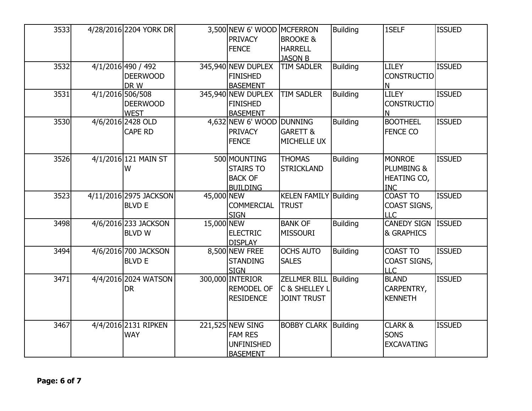| 3533 |                  | 4/28/2016 2204 YORK DR                        |            | 3,500 NEW 6' WOOD MCFERRON<br><b>PRIVACY</b><br><b>FENCE</b>               | <b>BROOKE &amp;</b><br><b>HARRELL</b><br><b>JASON B</b>    | <b>Building</b> | 1SELF                                                    | <b>ISSUED</b> |
|------|------------------|-----------------------------------------------|------------|----------------------------------------------------------------------------|------------------------------------------------------------|-----------------|----------------------------------------------------------|---------------|
| 3532 |                  | 4/1/2016 490 / 492<br><b>DEERWOOD</b><br>DR W |            | 345,940 NEW DUPLEX<br><b>FINISHED</b><br><b>BASEMENT</b>                   | <b>TIM SADLER</b>                                          | <b>Building</b> | <b>LILEY</b><br><b>CONSTRUCTIO</b><br>N                  | <b>ISSUED</b> |
| 3531 | 4/1/2016 506/508 | <b>DEERWOOD</b><br><b>WEST</b>                |            | 345,940 NEW DUPLEX<br><b>FINISHED</b><br><b>BASEMENT</b>                   | TIM SADLER                                                 | <b>Building</b> | <b>LILEY</b><br><b>CONSTRUCTIO</b><br>N                  | <b>ISSUED</b> |
| 3530 |                  | 4/6/2016 2428 OLD<br><b>CAPE RD</b>           |            | 4,632 NEW 6' WOOD DUNNING<br><b>PRIVACY</b><br><b>FENCE</b>                | <b>GARETT &amp;</b><br>MICHELLE UX                         | <b>Building</b> | <b>BOOTHEEL</b><br><b>FENCE CO</b>                       | <b>ISSUED</b> |
| 3526 |                  | 4/1/2016 121 MAIN ST<br>W                     |            | 500 MOUNTING<br><b>STAIRS TO</b><br><b>BACK OF</b><br><b>BUILDING</b>      | <b>THOMAS</b><br><b>STRICKLAND</b>                         | <b>Building</b> | <b>MONROE</b><br>PLUMBING &<br>HEATING CO,<br><b>INC</b> | <b>ISSUED</b> |
| 3523 |                  | 4/11/2016 2975 JACKSON<br><b>BLVD E</b>       | 45,000 NEW | <b>COMMERCIAL</b><br><b>SIGN</b>                                           | <b>KELEN FAMILY</b><br><b>TRUST</b>                        | Building        | <b>COAST TO</b><br>COAST SIGNS,<br><b>LLC</b>            | <b>ISSUED</b> |
| 3498 |                  | 4/6/2016 233 JACKSON<br><b>BLVD W</b>         | 15,000 NEW | <b>ELECTRIC</b><br><b>DISPLAY</b>                                          | <b>BANK OF</b><br><b>MISSOURI</b>                          | <b>Building</b> | <b>CANEDY SIGN</b><br>& GRAPHICS                         | <b>ISSUED</b> |
| 3494 |                  | 4/6/2016 700 JACKSON<br><b>BLVD E</b>         |            | 8,500 NEW FREE<br><b>STANDING</b><br><b>SIGN</b>                           | <b>OCHS AUTO</b><br><b>SALES</b>                           | <b>Building</b> | <b>COAST TO</b><br>COAST SIGNS,<br><b>LLC</b>            | <b>ISSUED</b> |
| 3471 |                  | 4/4/2016 2024 WATSON<br><b>DR</b>             |            | 300,000 INTERIOR<br><b>REMODEL OF</b><br><b>RESIDENCE</b>                  | <b>ZELLMER BILL</b><br>C & SHELLEY L<br><b>JOINT TRUST</b> | Building        | <b>BLAND</b><br>CARPENTRY,<br><b>KENNETH</b>             | <b>ISSUED</b> |
| 3467 |                  | 4/4/2016 2131 RIPKEN<br><b>WAY</b>            |            | 221,525 NEW SING<br><b>FAM RES</b><br><b>UNFINISHED</b><br><b>BASEMENT</b> | <b>BOBBY CLARK Building</b>                                |                 | <b>CLARK &amp;</b><br><b>SONS</b><br><b>EXCAVATING</b>   | <b>ISSUED</b> |